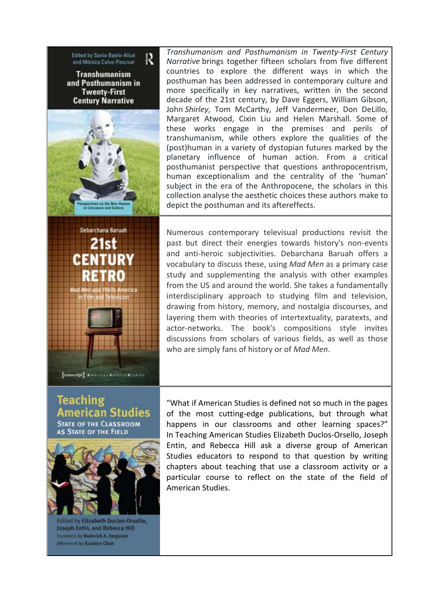Edited by Sonia Baelo-Allue R and Monica Calvo-Pascual Transhumanism and Posthumanism in **Twenty-First Century Narrative** 



Debarchana Baruah 21st

CENT

*Transhumanism and Posthumanism in Twenty-First Century Narrative* brings together fifteen scholars from five different countries to explore the different ways in which the posthuman has been addressed in contemporary culture and more specifically in key narratives, written in the second decade of the 21st century, by Dave Eggers, William Gibson, John *Shirley*, Tom McCarthy, Jeff Vandermeer, Don DeLillo, Margaret Atwood, Cixin Liu and Helen Marshall. Some of these works engage in the premises and perils of transhumanism, while others explore the qualities of the (post)human in a variety of dystopian futures marked by the planetary influence of human action. From a critical posthumanist perspective that questions anthropocentrism, human exceptionalism and the centrality of the 'human' subject in the era of the Anthropocene, the scholars in this collection analyse the aesthetic choices these authors make to depict the posthuman and its aftereffects.

Numerous contemporary televisual productions revisit the past but direct their energies towards history's non-events and anti-heroic subjectivities. Debarchana Baruah offers a vocabulary to discuss these, using *Mad Men* as a primary case study and supplementing the analysis with other examples from the US and around the world. She takes a fundamentally interdisciplinary approach to studying film and television, drawing from history, memory, and nostalgia discourses, and layering them with theories of intertextuality, paratexts, and actor-networks. The book's compositions style invites discussions from scholars of various fields, as well as those who are simply fans of history or of *Mad Men*.

**Teaching** American Studies **STATE OF THE CLASSROOM** AS STATE OF THE FIELD

[transcript] American Correcte Wisers



Edited by Elizabeth Duclos-Orsello, Joseph Entin, and Rebecca Hill Foreword by Roderick A. Ferguson **Afterword by Kandice Chuh** 

"What if American Studies is defined not so much in the pages of the most cutting-edge publications, but through what happens in our classrooms and other learning spaces?" In Teaching American Studies Elizabeth Duclos-Orsello, Joseph Entin, and Rebecca Hill ask a diverse group of American Studies educators to respond to that question by writing chapters about teaching that use a classroom activity or a particular course to reflect on the state of the field of American Studies.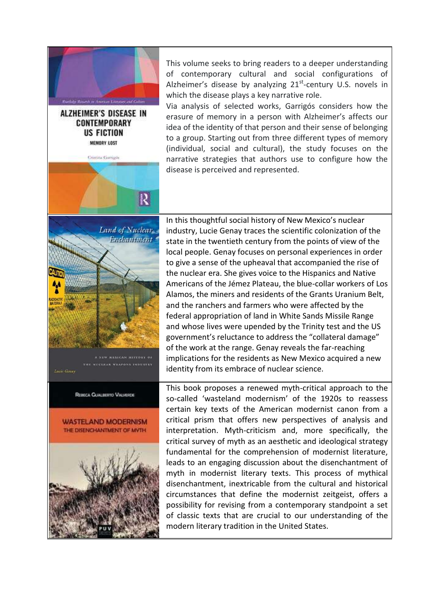

**ALZHEIMER'S DISEASE IN** CONTEMPORARY **US FICTION** MEMORY LOST

Cristing Garrigon

R

This volume seeks to bring readers to a deeper understanding of contemporary cultural and social configurations of Alzheimer's disease by analyzing 21<sup>st</sup>-century U.S. novels in which the disease plays a key narrative role.

Via analysis of selected works, Garrigós considers how the erasure of memory in a person with Alzheimer's affects our idea of the identity of that person and their sense of belonging to a group. Starting out from three different types of memory (individual, social and cultural), the study focuses on the narrative strategies that authors use to configure how the disease is perceived and represented.



MEXICAN HISTORY OF CLEAR WEAPONS INDUSTRY

REBECA GUALBERTO VALVERDE

Lucie Genav



In this thoughtful social history of New Mexico's nuclear industry, Lucie Genay traces the scientific colonization of the state in the twentieth century from the points of view of the local people. Genay focuses on personal experiences in order to give a sense of the upheaval that accompanied the rise of the nuclear era. She gives voice to the Hispanics and Native Americans of the Jémez Plateau, the blue-collar workers of Los Alamos, the miners and residents of the Grants Uranium Belt, and the ranchers and farmers who were affected by the federal appropriation of land in White Sands Missile Range and whose lives were upended by the Trinity test and the US government's reluctance to address the "collateral damage" of the work at the range. Genay reveals the far-reaching implications for the residents as New Mexico acquired a new identity from its embrace of nuclear science.

This book proposes a renewed myth-critical approach to the so-called 'wasteland modernism' of the 1920s to reassess certain key texts of the American modernist canon from a critical prism that offers new perspectives of analysis and interpretation. Myth-criticism and, more specifically, the critical survey of myth as an aesthetic and ideological strategy fundamental for the comprehension of modernist literature, leads to an engaging discussion about the disenchantment of myth in modernist literary texts. This process of mythical disenchantment, inextricable from the cultural and historical circumstances that define the modernist zeitgeist, offers a possibility for revising from a contemporary standpoint a set of classic texts that are crucial to our understanding of the modern literary tradition in the United States.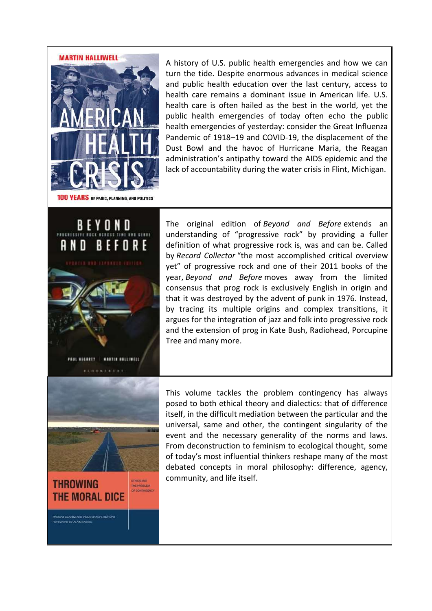## **MARTIN HALLIWELL**



A history of U.S. public health emergencies and how we can turn the tide. Despite enormous advances in medical science and public health education over the last century, access to health care remains a dominant issue in American life. U.S. health care is often hailed as the best in the world, yet the public health emergencies of today often echo the public health emergencies of yesterday: consider the Great Influenza Pandemic of 1918–19 and COVID-19, the displacement of the Dust Bowl and the havoc of Hurricane Maria, the Reagan administration's antipathy toward the AIDS epidemic and the lack of accountability during the water crisis in Flint, Michigan.

100 YEARS OF PANIC, PLANNING, AND POLITICS



The original edition of *Beyond and Before* extends an understanding of "progressive rock" by providing a fuller definition of what progressive rock is, was and can be. Called by *Record Collector* "the most accomplished critical overview yet" of progressive rock and one of their 2011 books of the year, *Beyond and Before* moves away from the limited consensus that prog rock is exclusively English in origin and that it was destroyed by the advent of punk in 1976. Instead, by tracing its multiple origins and complex transitions, it argues for the integration of jazz and folk into progressive rock and the extension of prog in Kate Bush, Radiohead, Porcupine Tree and many more.



This volume tackles the problem contingency has always posed to both ethical theory and dialectics: that of difference itself, in the difficult mediation between the particular and the universal, same and other, the contingent singularity of the event and the necessary generality of the norms and laws. From deconstruction to feminism to ecological thought, some of today's most influential thinkers reshape many of the most debated concepts in moral philosophy: difference, agency, community, and life itself.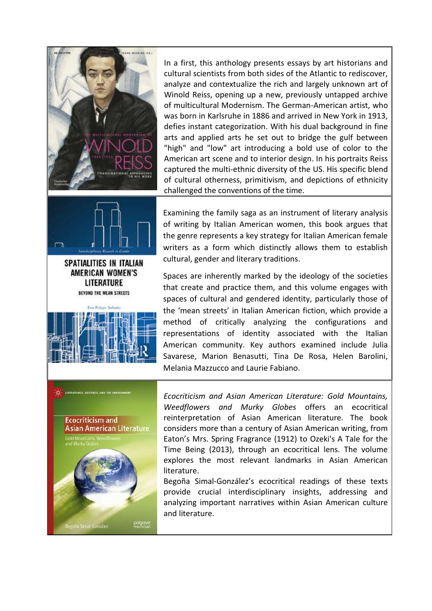



AMERICAN WOMEN'S LITERATURE BEYOND THE MEAN STREETS **Children** Salvak

In a first, this anthology presents essays by art historians and cultural scientists from both sides of the Atlantic to rediscover, analyze and contextualize the rich and largely unknown art of Winold Reiss, opening up a new, previously untapped archive of multicultural Modernism. The German-American artist, who was born in Karlsruhe in 1886 and arrived in New York in 1913, defies instant categorization. With his dual background in fine arts and applied arts he set out to bridge the gulf between "high" and "low" art introducing a bold use of color to the American art scene and to interior design. In his portraits Reiss captured the multi-ethnic diversity of the US. His specific blend of cultural otherness, primitivism, and depictions of ethnicity challenged the conventions of the time.

Examining the family saga as an instrument of literary analysis of writing by Italian American women, this book argues that the genre represents a key strategy for Italian American female writers as a form which distinctly allows them to establish cultural, gender and literary traditions.

Spaces are inherently marked by the ideology of the societies that create and practice them, and this volume engages with spaces of cultural and gendered identity, particularly those of the 'mean streets' in Italian American fiction, which provide a method of critically analyzing the configurations and representations of identity associated with the Italian American community. Key authors examined include Julia Savarese, Marion Benasutti, Tina De Rosa, Helen Barolini, Melania Mazzucco and Laurie Fabiano.



*Ecocriticism and Asian American Literature: Gold Mountains, Weedflowers and Murky Globes* offers an ecocritical reinterpretation of Asian American literature. The book considers more than a century of Asian American writing, from Eaton's Mrs. Spring Fragrance (1912) to Ozeki's A Tale for the Time Being (2013), through an ecocritical lens. The volume explores the most relevant landmarks in Asian American literature.

Begoña Simal-González's ecocritical readings of these texts provide crucial interdisciplinary insights, addressing and analyzing important narratives within Asian American culture and literature.